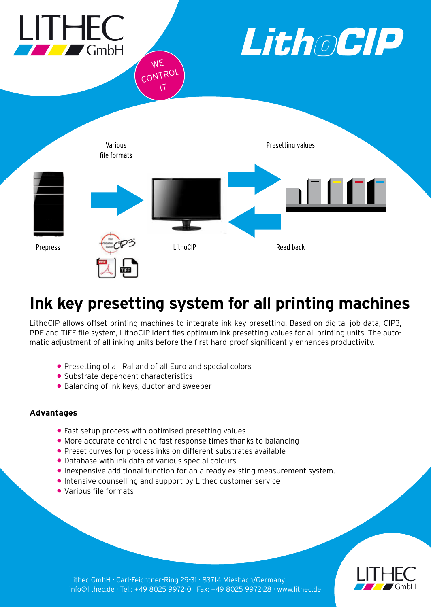

# **Ink key presetting system for all printing machines**

LithoCIP allows offset printing machines to integrate ink key presetting. Based on digital job data, CIP3, PDF and TIFF file system, LithoCIP identifies optimum ink presetting values for all printing units. The automatic adjustment of all inking units before the first hard-proof significantly enhances productivity.

- Presetting of all Ral and of all Euro and special colors
- Substrate-dependent characteristics
- Balancing of ink keys, ductor and sweeper

# **Advantages**

- Fast setup process with optimised presetting values
- More accurate control and fast response times thanks to balancing
- Preset curves for process inks on different substrates available
- Database with ink data of various special colours
- Inexpensive additional function for an already existing measurement system.
- Intensive counselling and support by Lithec customer service
- Various file formats



Lithec GmbH · Carl-Feichtner-Ring 29-31 · 83714 Miesbach/Germany info@lithec.de · Tel.: +49 8025 9972-0 · Fax: +49 8025 9972-28 · www.lithec.de